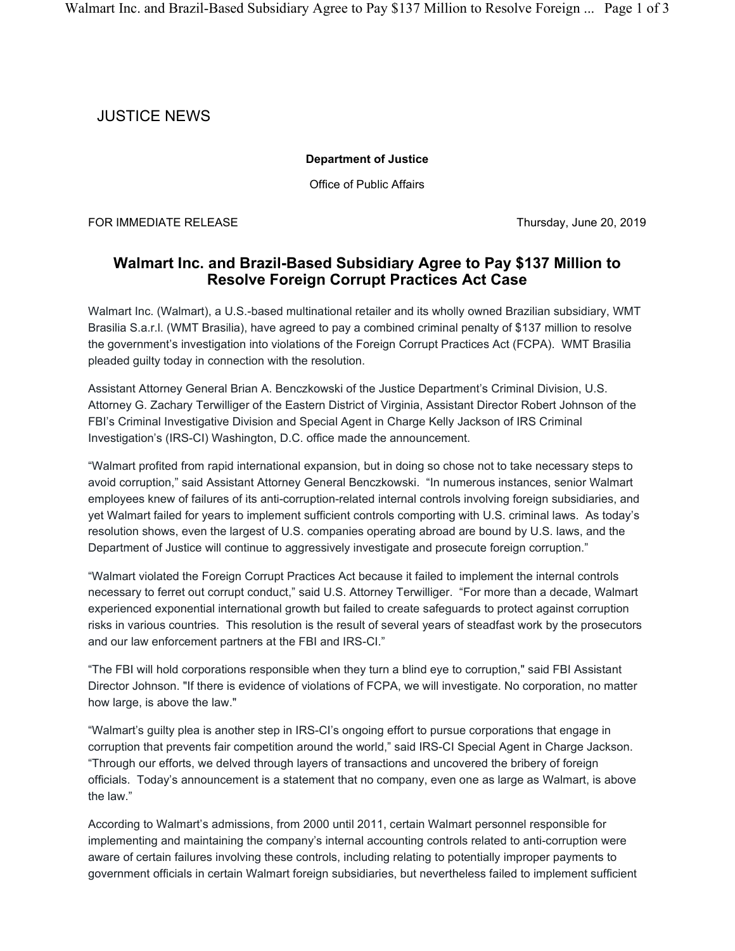## JUSTICE NEWS

## **Department of Justice**

Office of Public Affairs

FOR IMMEDIATE RELEASE THE SECOND STATE STATES AND THURSDAY, June 20, 2019

## **Walmart Inc. and Brazil-Based Subsidiary Agree to Pay \$137 Million to Resolve Foreign Corrupt Practices Act Case**

Walmart Inc. (Walmart), a U.S.-based multinational retailer and its wholly owned Brazilian subsidiary, WMT Brasilia S.a.r.l. (WMT Brasilia), have agreed to pay a combined criminal penalty of \$137 million to resolve the government's investigation into violations of the Foreign Corrupt Practices Act (FCPA). WMT Brasilia pleaded guilty today in connection with the resolution.

Assistant Attorney General Brian A. Benczkowski of the Justice Department's Criminal Division, U.S. Attorney G. Zachary Terwilliger of the Eastern District of Virginia, Assistant Director Robert Johnson of the FBI's Criminal Investigative Division and Special Agent in Charge Kelly Jackson of IRS Criminal Investigation's (IRS-CI) Washington, D.C. office made the announcement.

"Walmart profited from rapid international expansion, but in doing so chose not to take necessary steps to avoid corruption," said Assistant Attorney General Benczkowski. "In numerous instances, senior Walmart employees knew of failures of its anti-corruption-related internal controls involving foreign subsidiaries, and yet Walmart failed for years to implement sufficient controls comporting with U.S. criminal laws. As today's resolution shows, even the largest of U.S. companies operating abroad are bound by U.S. laws, and the Department of Justice will continue to aggressively investigate and prosecute foreign corruption."

"Walmart violated the Foreign Corrupt Practices Act because it failed to implement the internal controls necessary to ferret out corrupt conduct," said U.S. Attorney Terwilliger. "For more than a decade, Walmart experienced exponential international growth but failed to create safeguards to protect against corruption risks in various countries. This resolution is the result of several years of steadfast work by the prosecutors and our law enforcement partners at the FBI and IRS-CI."

"The FBI will hold corporations responsible when they turn a blind eye to corruption," said FBI Assistant Director Johnson. "If there is evidence of violations of FCPA, we will investigate. No corporation, no matter how large, is above the law."

"Walmart's guilty plea is another step in IRS-CI's ongoing effort to pursue corporations that engage in corruption that prevents fair competition around the world," said IRS-CI Special Agent in Charge Jackson. "Through our efforts, we delved through layers of transactions and uncovered the bribery of foreign officials. Today's announcement is a statement that no company, even one as large as Walmart, is above the law."

According to Walmart's admissions, from 2000 until 2011, certain Walmart personnel responsible for implementing and maintaining the company's internal accounting controls related to anti-corruption were aware of certain failures involving these controls, including relating to potentially improper payments to government officials in certain Walmart foreign subsidiaries, but nevertheless failed to implement sufficient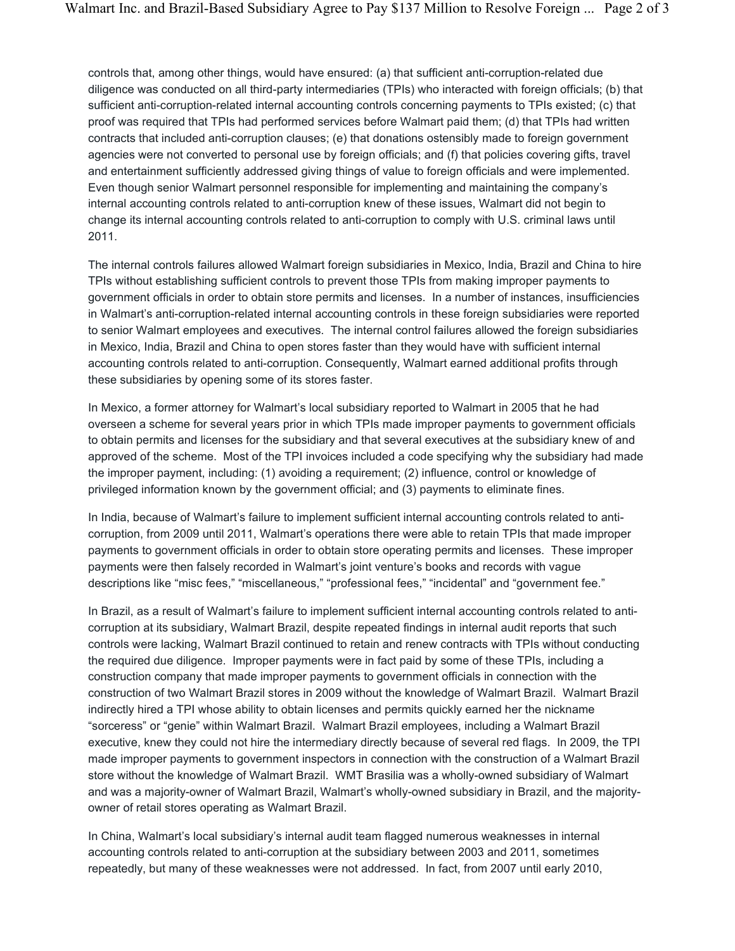controls that, among other things, would have ensured: (a) that sufficient anti-corruption-related due diligence was conducted on all third-party intermediaries (TPIs) who interacted with foreign officials; (b) that sufficient anti-corruption-related internal accounting controls concerning payments to TPIs existed; (c) that proof was required that TPIs had performed services before Walmart paid them; (d) that TPIs had written contracts that included anti-corruption clauses; (e) that donations ostensibly made to foreign government agencies were not converted to personal use by foreign officials; and (f) that policies covering gifts, travel and entertainment sufficiently addressed giving things of value to foreign officials and were implemented. Even though senior Walmart personnel responsible for implementing and maintaining the company's internal accounting controls related to anti-corruption knew of these issues, Walmart did not begin to change its internal accounting controls related to anti-corruption to comply with U.S. criminal laws until 2011.

The internal controls failures allowed Walmart foreign subsidiaries in Mexico, India, Brazil and China to hire TPIs without establishing sufficient controls to prevent those TPIs from making improper payments to government officials in order to obtain store permits and licenses. In a number of instances, insufficiencies in Walmart's anti-corruption-related internal accounting controls in these foreign subsidiaries were reported to senior Walmart employees and executives. The internal control failures allowed the foreign subsidiaries in Mexico, India, Brazil and China to open stores faster than they would have with sufficient internal accounting controls related to anti-corruption. Consequently, Walmart earned additional profits through these subsidiaries by opening some of its stores faster.

In Mexico, a former attorney for Walmart's local subsidiary reported to Walmart in 2005 that he had overseen a scheme for several years prior in which TPIs made improper payments to government officials to obtain permits and licenses for the subsidiary and that several executives at the subsidiary knew of and approved of the scheme. Most of the TPI invoices included a code specifying why the subsidiary had made the improper payment, including: (1) avoiding a requirement; (2) influence, control or knowledge of privileged information known by the government official; and (3) payments to eliminate fines.

In India, because of Walmart's failure to implement sufficient internal accounting controls related to anticorruption, from 2009 until 2011, Walmart's operations there were able to retain TPIs that made improper payments to government officials in order to obtain store operating permits and licenses. These improper payments were then falsely recorded in Walmart's joint venture's books and records with vague descriptions like "misc fees," "miscellaneous," "professional fees," "incidental" and "government fee."

In Brazil, as a result of Walmart's failure to implement sufficient internal accounting controls related to anticorruption at its subsidiary, Walmart Brazil, despite repeated findings in internal audit reports that such controls were lacking, Walmart Brazil continued to retain and renew contracts with TPIs without conducting the required due diligence. Improper payments were in fact paid by some of these TPIs, including a construction company that made improper payments to government officials in connection with the construction of two Walmart Brazil stores in 2009 without the knowledge of Walmart Brazil. Walmart Brazil indirectly hired a TPI whose ability to obtain licenses and permits quickly earned her the nickname "sorceress" or "genie" within Walmart Brazil. Walmart Brazil employees, including a Walmart Brazil executive, knew they could not hire the intermediary directly because of several red flags. In 2009, the TPI made improper payments to government inspectors in connection with the construction of a Walmart Brazil store without the knowledge of Walmart Brazil. WMT Brasilia was a wholly-owned subsidiary of Walmart and was a majority-owner of Walmart Brazil, Walmart's wholly-owned subsidiary in Brazil, and the majorityowner of retail stores operating as Walmart Brazil.

In China, Walmart's local subsidiary's internal audit team flagged numerous weaknesses in internal accounting controls related to anti-corruption at the subsidiary between 2003 and 2011, sometimes repeatedly, but many of these weaknesses were not addressed. In fact, from 2007 until early 2010,